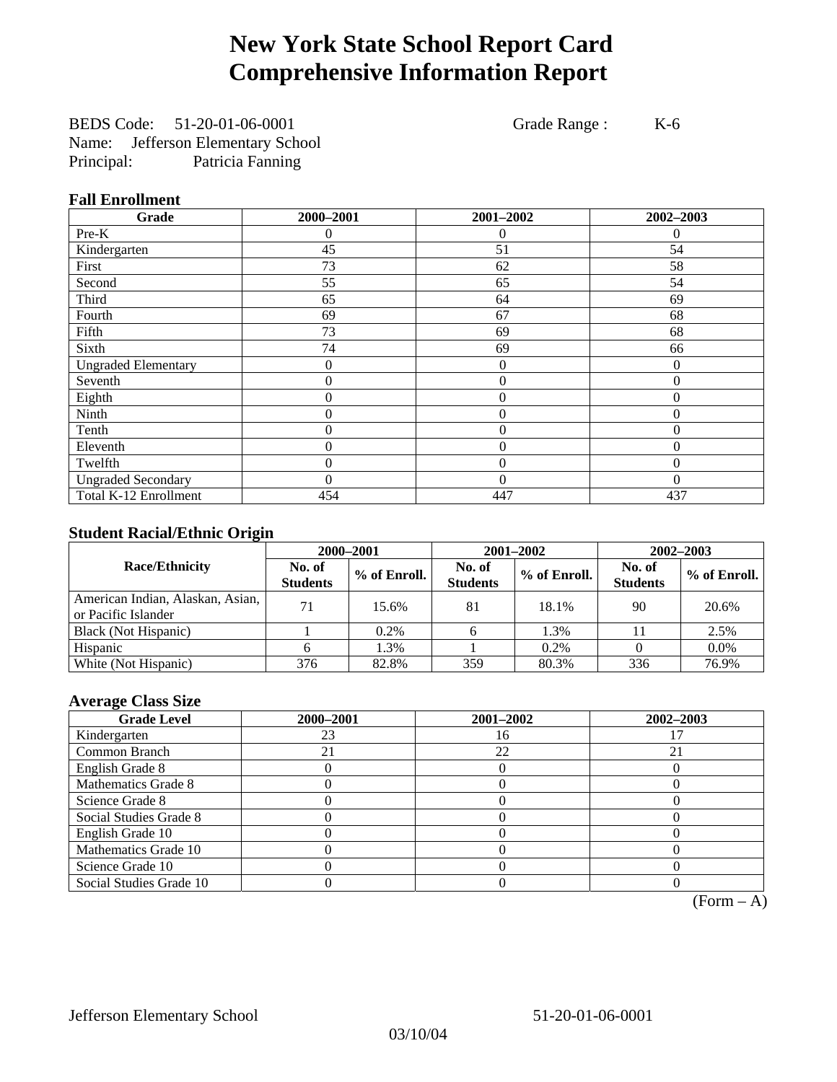# **New York State School Report Card Comprehensive Information Report**

BEDS Code: 51-20-01-06-0001 Grade Range : K-6 Name: Jefferson Elementary School Principal: Patricia Fanning

### **Fall Enrollment**

| Grade                      | 2000-2001        | 2001-2002        | 2002-2003        |
|----------------------------|------------------|------------------|------------------|
| Pre-K                      | $\theta$         | 0                | $\theta$         |
| Kindergarten               | 45               | 51               | 54               |
| First                      | 73               | 62               | 58               |
| Second                     | 55               | 65               | 54               |
| Third                      | 65               | 64               | 69               |
| Fourth                     | 69               | 67               | 68               |
| Fifth                      | 73               | 69               | 68               |
| Sixth                      | 74               | 69               | 66               |
| <b>Ungraded Elementary</b> | 0                | $\boldsymbol{0}$ | $\theta$         |
| Seventh                    | $\boldsymbol{0}$ | $\mathbf{0}$     | $\boldsymbol{0}$ |
| Eighth                     | 0                | $\theta$         | $\Omega$         |
| Ninth                      | 0                | $\theta$         | $\Omega$         |
| Tenth                      | 0                | $\boldsymbol{0}$ | $\theta$         |
| Eleventh                   | 0                | $\overline{0}$   | $\theta$         |
| Twelfth                    | 0                | $\overline{0}$   | $\Omega$         |
| <b>Ungraded Secondary</b>  | $\theta$         | $\theta$         | $\theta$         |
| Total K-12 Enrollment      | 454              | 447              | 437              |

### **Student Racial/Ethnic Origin**

|                                                         | 2000-2001                 |              |                           | 2001-2002    | 2002-2003                 |                |
|---------------------------------------------------------|---------------------------|--------------|---------------------------|--------------|---------------------------|----------------|
| <b>Race/Ethnicity</b>                                   | No. of<br><b>Students</b> | % of Enroll. | No. of<br><b>Students</b> | % of Enroll. | No. of<br><b>Students</b> | $%$ of Enroll. |
| American Indian, Alaskan, Asian,<br>or Pacific Islander | 71                        | 15.6%        | 81                        | 18.1%        | 90                        | 20.6%          |
| Black (Not Hispanic)                                    |                           | $0.2\%$      |                           | 1.3%         | $\perp$                   | 2.5%           |
| Hispanic                                                |                           | 1.3%         |                           | 0.2%         |                           | $0.0\%$        |
| White (Not Hispanic)                                    | 376                       | 82.8%        | 359                       | 80.3%        | 336                       | 76.9%          |

### **Average Class Size**

| <b>Grade Level</b>      | 2000-2001 | 2001-2002 | 2002-2003 |
|-------------------------|-----------|-----------|-----------|
| Kindergarten            | 23        |           |           |
| Common Branch           |           | 22        | 21        |
| English Grade 8         |           |           |           |
| Mathematics Grade 8     |           |           |           |
| Science Grade 8         |           |           |           |
| Social Studies Grade 8  |           |           |           |
| English Grade 10        |           |           |           |
| Mathematics Grade 10    |           |           |           |
| Science Grade 10        |           |           |           |
| Social Studies Grade 10 |           |           |           |

 $(Form - A)$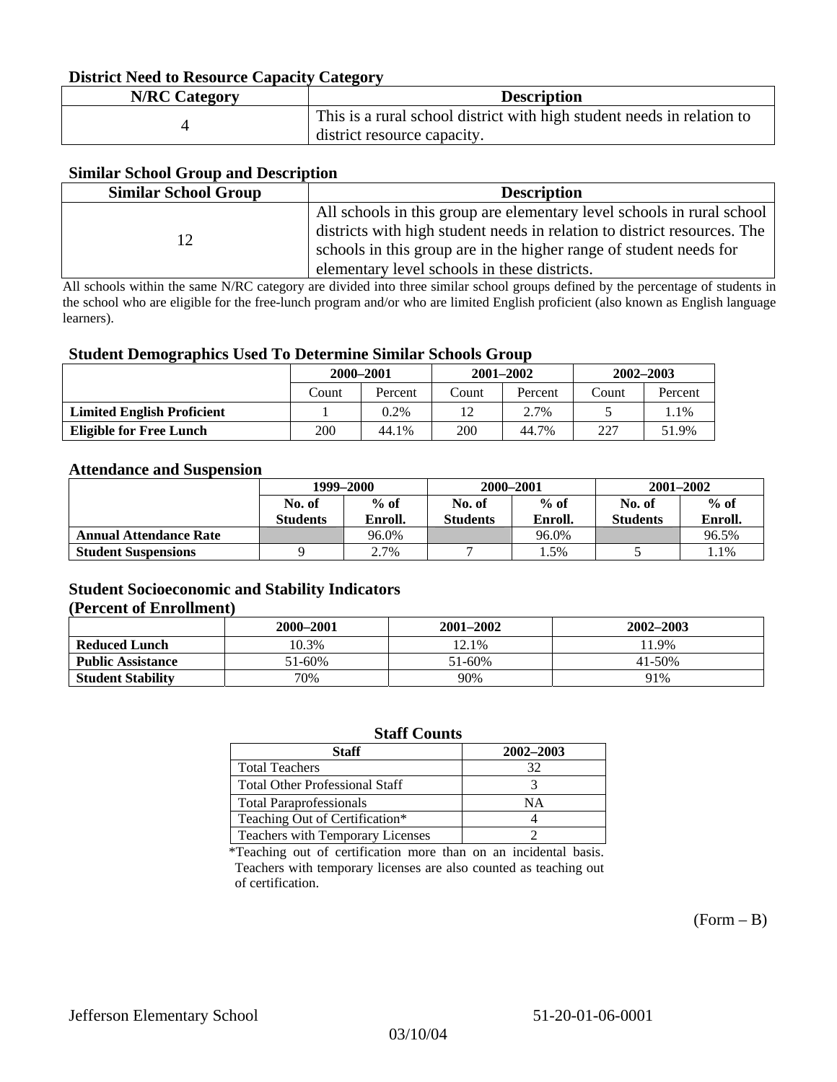### **District Need to Resource Capacity Category**

| <b>N/RC Category</b> | <b>Description</b>                                                     |
|----------------------|------------------------------------------------------------------------|
|                      | This is a rural school district with high student needs in relation to |
|                      | district resource capacity.                                            |

### **Similar School Group and Description**

| <b>Similar School Group</b> | <b>Description</b>                                                       |
|-----------------------------|--------------------------------------------------------------------------|
|                             | All schools in this group are elementary level schools in rural school   |
|                             | districts with high student needs in relation to district resources. The |
|                             | schools in this group are in the higher range of student needs for       |
|                             | elementary level schools in these districts.                             |

All schools within the same N/RC category are divided into three similar school groups defined by the percentage of students in the school who are eligible for the free-lunch program and/or who are limited English proficient (also known as English language learners).

#### **Student Demographics Used To Determine Similar Schools Group**

| . .                               | 2000-2001 |         | $2001 - 2002$ |         | $2002 - 2003$ |         |
|-----------------------------------|-----------|---------|---------------|---------|---------------|---------|
|                                   | Count     | Percent |               | Percent | Count         | Percent |
| <b>Limited English Proficient</b> |           | $0.2\%$ |               | 2.7%    |               | 1.1%    |
| <b>Eligible for Free Lunch</b>    | 200       | 44.1%   | 200           | 44.7%   | 227           | 51.9%   |

#### **Attendance and Suspension**

|                               | 1999–2000        |         | 2000-2001        |         | $2001 - 2002$   |         |
|-------------------------------|------------------|---------|------------------|---------|-----------------|---------|
|                               | $%$ of<br>No. of |         | $%$ of<br>No. of |         | No. of          | $%$ of  |
|                               | <b>Students</b>  | Enroll. | Students         | Enroll. | <b>Students</b> | Enroll. |
| <b>Annual Attendance Rate</b> |                  | 96.0%   |                  | 96.0%   |                 | 96.5%   |
| <b>Student Suspensions</b>    |                  | 2.7%    |                  | . . 5%  |                 | 1.1%    |

### **Student Socioeconomic and Stability Indicators (Percent of Enrollment)**

|                          | 2000–2001 | 2001–2002 | $2002 - 2003$ |
|--------------------------|-----------|-----------|---------------|
| <b>Reduced Lunch</b>     | 10.3%     | 12.1%     | 11.9%         |
| <b>Public Assistance</b> | 51-60%    | 51-60%    | $41 - 50%$    |
| <b>Student Stability</b> | 70%       | 90%       | 91%           |

#### **Staff Counts**

| Staff                                 | 2002-2003 |
|---------------------------------------|-----------|
| <b>Total Teachers</b>                 | 32        |
| <b>Total Other Professional Staff</b> |           |
| <b>Total Paraprofessionals</b>        | NΑ        |
| Teaching Out of Certification*        |           |
| Teachers with Temporary Licenses      |           |

\*Teaching out of certification more than on an incidental basis. Teachers with temporary licenses are also counted as teaching out of certification.

 $(Form - B)$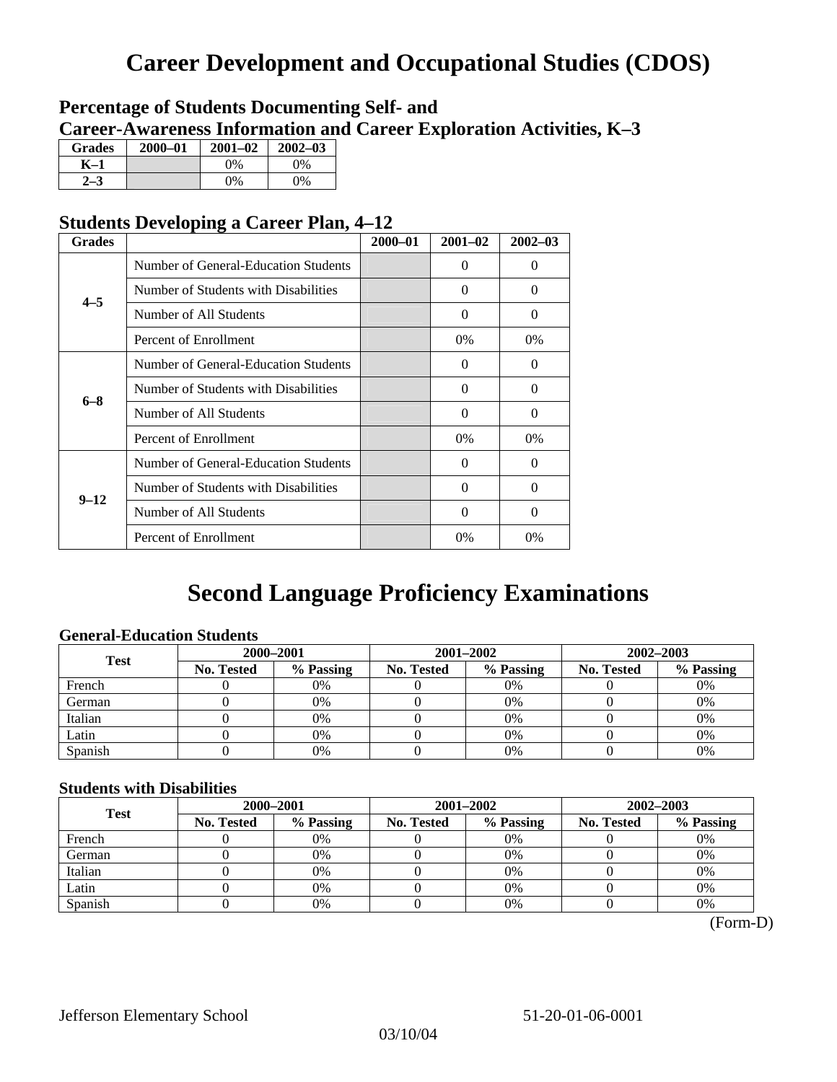# **Career Development and Occupational Studies (CDOS)**

### **Percentage of Students Documenting Self- and Career-Awareness Information and Career Exploration Activities, K–3**

| <b>Grades</b> | $2000 - 01$ | $2001 - 02$ | $2002 - 03$ |
|---------------|-------------|-------------|-------------|
| K-1           |             | 0%          | $0\%$       |
| 72            |             | $0\%$       | $0\%$       |

### **Students Developing a Career Plan, 4–12**

| <b>Grades</b> |                                      | $2000 - 01$ | $2001 - 02$ | $2002 - 03$ |
|---------------|--------------------------------------|-------------|-------------|-------------|
|               | Number of General-Education Students |             | $\Omega$    | 0           |
| $4 - 5$       | Number of Students with Disabilities |             | $\Omega$    | $\Omega$    |
|               | Number of All Students               |             | $\Omega$    | 0           |
|               | Percent of Enrollment                |             | $0\%$       | $0\%$       |
|               | Number of General-Education Students |             | $\Omega$    | 0           |
| $6 - 8$       | Number of Students with Disabilities |             | $\Omega$    | $\Omega$    |
|               | Number of All Students               |             | $\Omega$    | $\Omega$    |
|               | Percent of Enrollment                |             | $0\%$       | $0\%$       |
|               | Number of General-Education Students |             | $\Omega$    | 0           |
| $9 - 12$      | Number of Students with Disabilities |             | $\Omega$    | 0           |
|               | Number of All Students               |             | 0           | 0           |
|               | Percent of Enrollment                |             | 0%          | 0%          |

# **Second Language Proficiency Examinations**

### **General-Education Students**

| <b>Test</b> | 2000-2001         |           |            | 2001-2002 | $2002 - 2003$ |           |
|-------------|-------------------|-----------|------------|-----------|---------------|-----------|
|             | <b>No. Tested</b> | % Passing | No. Tested | % Passing | No. Tested    | % Passing |
| French      |                   | 0%        |            | $0\%$     |               | 0%        |
| German      |                   | 0%        |            | $0\%$     |               | 0%        |
| Italian     |                   | 0%        |            | 0%        |               | 0%        |
| Latin       |                   | 0%        |            | 0%        |               | 0%        |
| Spanish     |                   | 0%        |            | 0%        |               | 0%        |

### **Students with Disabilities**

| <b>Test</b> | 2000-2001  |           |            | 2001-2002 | 2002-2003  |           |  |
|-------------|------------|-----------|------------|-----------|------------|-----------|--|
|             | No. Tested | % Passing | No. Tested | % Passing | No. Tested | % Passing |  |
| French      |            | 0%        |            | 0%        |            | 0%        |  |
| German      |            | 0%        |            | $0\%$     |            | 0%        |  |
| Italian     |            | 0%        |            | 0%        |            | 0%        |  |
| Latin       |            | 0%        |            | 0%        |            | 0%        |  |
| Spanish     |            | 0%        |            | 0%        |            | 0%        |  |

(Form-D)